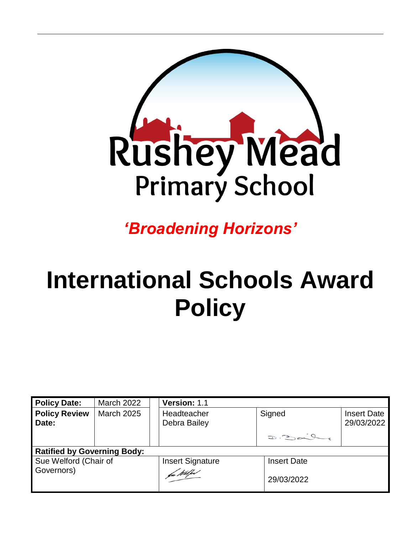

*'Broadening Horizons'*

# **International Schools Award Policy**

| <b>Policy Date:</b>                | <b>March 2022</b> | Version: 1.1                |                    |                                  |
|------------------------------------|-------------------|-----------------------------|--------------------|----------------------------------|
| <b>Policy Review</b><br>Date:      | <b>March 2025</b> | Headteacher<br>Debra Bailey | Signed             | <b>Insert Date</b><br>29/03/2022 |
|                                    |                   |                             | D.2002.07          |                                  |
| <b>Ratified by Governing Body:</b> |                   |                             |                    |                                  |
| Sue Welford (Chair of              |                   | <b>Insert Signature</b>     | <b>Insert Date</b> |                                  |
| Governors)                         |                   | fu Wilfes                   | 29/03/2022         |                                  |